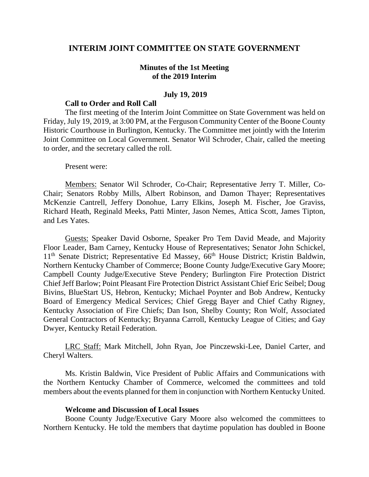## **INTERIM JOINT COMMITTEE ON STATE GOVERNMENT**

## **Minutes of the 1st Meeting of the 2019 Interim**

## **July 19, 2019**

## **Call to Order and Roll Call**

The first meeting of the Interim Joint Committee on State Government was held on Friday, July 19, 2019, at 3:00 PM, at the Ferguson Community Center of the Boone County Historic Courthouse in Burlington, Kentucky. The Committee met jointly with the Interim Joint Committee on Local Government. Senator Wil Schroder, Chair, called the meeting to order, and the secretary called the roll.

#### Present were:

Members: Senator Wil Schroder, Co-Chair; Representative Jerry T. Miller, Co-Chair; Senators Robby Mills, Albert Robinson, and Damon Thayer; Representatives McKenzie Cantrell, Jeffery Donohue, Larry Elkins, Joseph M. Fischer, Joe Graviss, Richard Heath, Reginald Meeks, Patti Minter, Jason Nemes, Attica Scott, James Tipton, and Les Yates.

Guests: Speaker David Osborne, Speaker Pro Tem David Meade, and Majority Floor Leader, Bam Carney, Kentucky House of Representatives; Senator John Schickel, 11<sup>th</sup> Senate District; Representative Ed Massey, 66<sup>th</sup> House District; Kristin Baldwin, Northern Kentucky Chamber of Commerce; Boone County Judge/Executive Gary Moore; Campbell County Judge/Executive Steve Pendery; Burlington Fire Protection District Chief Jeff Barlow; Point Pleasant Fire Protection District Assistant Chief Eric Seibel; Doug Bivins, BlueStart US, Hebron, Kentucky; Michael Poynter and Bob Andrew, Kentucky Board of Emergency Medical Services; Chief Gregg Bayer and Chief Cathy Rigney, Kentucky Association of Fire Chiefs; Dan Ison, Shelby County; Ron Wolf, Associated General Contractors of Kentucky; Bryanna Carroll, Kentucky League of Cities; and Gay Dwyer, Kentucky Retail Federation.

LRC Staff: Mark Mitchell, John Ryan, Joe Pinczewski-Lee, Daniel Carter, and Cheryl Walters.

Ms. Kristin Baldwin, Vice President of Public Affairs and Communications with the Northern Kentucky Chamber of Commerce, welcomed the committees and told members about the events planned for them in conjunction with Northern Kentucky United.

## **Welcome and Discussion of Local Issues**

Boone County Judge/Executive Gary Moore also welcomed the committees to Northern Kentucky. He told the members that daytime population has doubled in Boone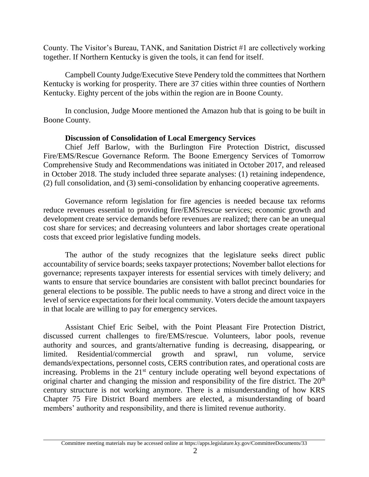County. The Visitor's Bureau, TANK, and Sanitation District #1 are collectively working together. If Northern Kentucky is given the tools, it can fend for itself.

Campbell County Judge/Executive Steve Pendery told the committees that Northern Kentucky is working for prosperity. There are 37 cities within three counties of Northern Kentucky. Eighty percent of the jobs within the region are in Boone County.

In conclusion, Judge Moore mentioned the Amazon hub that is going to be built in Boone County.

# **Discussion of Consolidation of Local Emergency Services**

Chief Jeff Barlow, with the Burlington Fire Protection District, discussed Fire/EMS/Rescue Governance Reform. The Boone Emergency Services of Tomorrow Comprehensive Study and Recommendations was initiated in October 2017, and released in October 2018. The study included three separate analyses: (1) retaining independence, (2) full consolidation, and (3) semi-consolidation by enhancing cooperative agreements.

Governance reform legislation for fire agencies is needed because tax reforms reduce revenues essential to providing fire/EMS/rescue services; economic growth and development create service demands before revenues are realized; there can be an unequal cost share for services; and decreasing volunteers and labor shortages create operational costs that exceed prior legislative funding models.

The author of the study recognizes that the legislature seeks direct public accountability of service boards; seeks taxpayer protections; November ballot elections for governance; represents taxpayer interests for essential services with timely delivery; and wants to ensure that service boundaries are consistent with ballot precinct boundaries for general elections to be possible. The public needs to have a strong and direct voice in the level of service expectations for their local community. Voters decide the amount taxpayers in that locale are willing to pay for emergency services.

Assistant Chief Eric Seibel, with the Point Pleasant Fire Protection District, discussed current challenges to fire/EMS/rescue. Volunteers, labor pools, revenue authority and sources, and grants/alternative funding is decreasing, disappearing, or limited. Residential/commercial growth and sprawl, run volume, service demands/expectations, personnel costs, CERS contribution rates, and operational costs are increasing. Problems in the  $21<sup>st</sup>$  century include operating well beyond expectations of original charter and changing the mission and responsibility of the fire district. The  $20<sup>th</sup>$ century structure is not working anymore. There is a misunderstanding of how KRS Chapter 75 Fire District Board members are elected, a misunderstanding of board members' authority and responsibility, and there is limited revenue authority.

Committee meeting materials may be accessed online at https://apps.legislature.ky.gov/CommitteeDocuments/33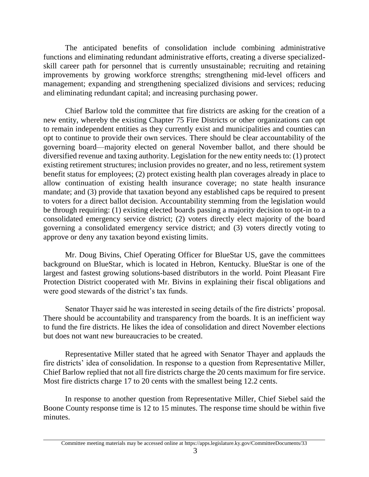The anticipated benefits of consolidation include combining administrative functions and eliminating redundant administrative efforts, creating a diverse specializedskill career path for personnel that is currently unsustainable; recruiting and retaining improvements by growing workforce strengths; strengthening mid-level officers and management; expanding and strengthening specialized divisions and services; reducing and eliminating redundant capital; and increasing purchasing power.

Chief Barlow told the committee that fire districts are asking for the creation of a new entity, whereby the existing Chapter 75 Fire Districts or other organizations can opt to remain independent entities as they currently exist and municipalities and counties can opt to continue to provide their own services. There should be clear accountability of the governing board—majority elected on general November ballot, and there should be diversified revenue and taxing authority. Legislation for the new entity needs to: (1) protect existing retirement structures; inclusion provides no greater, and no less, retirement system benefit status for employees; (2) protect existing health plan coverages already in place to allow continuation of existing health insurance coverage; no state health insurance mandate; and (3) provide that taxation beyond any established caps be required to present to voters for a direct ballot decision. Accountability stemming from the legislation would be through requiring: (1) existing elected boards passing a majority decision to opt-in to a consolidated emergency service district; (2) voters directly elect majority of the board governing a consolidated emergency service district; and (3) voters directly voting to approve or deny any taxation beyond existing limits.

Mr. Doug Bivins, Chief Operating Officer for BlueStar US, gave the committees background on BlueStar, which is located in Hebron, Kentucky. BlueStar is one of the largest and fastest growing solutions-based distributors in the world. Point Pleasant Fire Protection District cooperated with Mr. Bivins in explaining their fiscal obligations and were good stewards of the district's tax funds.

Senator Thayer said he was interested in seeing details of the fire districts' proposal. There should be accountability and transparency from the boards. It is an inefficient way to fund the fire districts. He likes the idea of consolidation and direct November elections but does not want new bureaucracies to be created.

Representative Miller stated that he agreed with Senator Thayer and applauds the fire districts' idea of consolidation. In response to a question from Representative Miller, Chief Barlow replied that not all fire districts charge the 20 cents maximum for fire service. Most fire districts charge 17 to 20 cents with the smallest being 12.2 cents.

In response to another question from Representative Miller, Chief Siebel said the Boone County response time is 12 to 15 minutes. The response time should be within five minutes.

Committee meeting materials may be accessed online at https://apps.legislature.ky.gov/CommitteeDocuments/33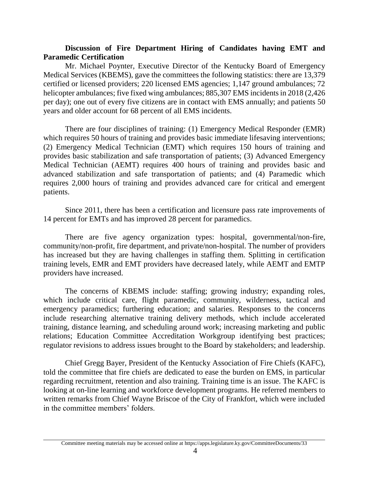# **Discussion of Fire Department Hiring of Candidates having EMT and Paramedic Certification**

Mr. Michael Poynter, Executive Director of the Kentucky Board of Emergency Medical Services (KBEMS), gave the committees the following statistics: there are 13,379 certified or licensed providers; 220 licensed EMS agencies; 1,147 ground ambulances; 72 helicopter ambulances; five fixed wing ambulances; 885,307 EMS incidents in 2018 (2,426) per day); one out of every five citizens are in contact with EMS annually; and patients 50 years and older account for 68 percent of all EMS incidents.

There are four disciplines of training: (1) Emergency Medical Responder (EMR) which requires 50 hours of training and provides basic immediate lifesaving interventions; (2) Emergency Medical Technician (EMT) which requires 150 hours of training and provides basic stabilization and safe transportation of patients; (3) Advanced Emergency Medical Technician (AEMT) requires 400 hours of training and provides basic and advanced stabilization and safe transportation of patients; and (4) Paramedic which requires 2,000 hours of training and provides advanced care for critical and emergent patients.

Since 2011, there has been a certification and licensure pass rate improvements of 14 percent for EMTs and has improved 28 percent for paramedics.

There are five agency organization types: hospital, governmental/non-fire, community/non-profit, fire department, and private/non-hospital. The number of providers has increased but they are having challenges in staffing them. Splitting in certification training levels, EMR and EMT providers have decreased lately, while AEMT and EMTP providers have increased.

The concerns of KBEMS include: staffing; growing industry; expanding roles, which include critical care, flight paramedic, community, wilderness, tactical and emergency paramedics; furthering education; and salaries. Responses to the concerns include researching alternative training delivery methods, which include accelerated training, distance learning, and scheduling around work; increasing marketing and public relations; Education Committee Accreditation Workgroup identifying best practices; regulator revisions to address issues brought to the Board by stakeholders; and leadership.

Chief Gregg Bayer, President of the Kentucky Association of Fire Chiefs (KAFC), told the committee that fire chiefs are dedicated to ease the burden on EMS, in particular regarding recruitment, retention and also training. Training time is an issue. The KAFC is looking at on-line learning and workforce development programs. He referred members to written remarks from Chief Wayne Briscoe of the City of Frankfort, which were included in the committee members' folders.

Committee meeting materials may be accessed online at https://apps.legislature.ky.gov/CommitteeDocuments/33